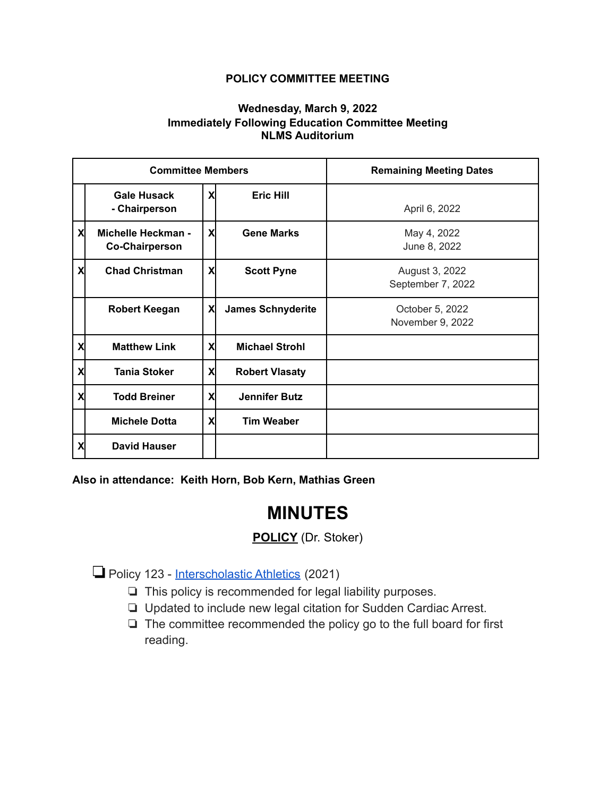## **POLICY COMMITTEE MEETING**

## **Wednesday, March 9, 2022 Immediately Following Education Committee Meeting NLMS Auditorium**

| <b>Committee Members</b> |                                                    |    |                          | <b>Remaining Meeting Dates</b>      |
|--------------------------|----------------------------------------------------|----|--------------------------|-------------------------------------|
|                          | <b>Gale Husack</b><br>- Chairperson                | X  | <b>Eric Hill</b>         | April 6, 2022                       |
| X                        | <b>Michelle Heckman -</b><br><b>Co-Chairperson</b> | X  | <b>Gene Marks</b>        | May 4, 2022<br>June 8, 2022         |
| X                        | <b>Chad Christman</b>                              | X  | <b>Scott Pyne</b>        | August 3, 2022<br>September 7, 2022 |
|                          | <b>Robert Keegan</b>                               | X  | <b>James Schnyderite</b> | October 5, 2022<br>November 9, 2022 |
| X                        | <b>Matthew Link</b>                                | X  | <b>Michael Strohl</b>    |                                     |
| X                        | <b>Tania Stoker</b>                                | Χl | <b>Robert Vlasaty</b>    |                                     |
| X                        | <b>Todd Breiner</b>                                | X  | <b>Jennifer Butz</b>     |                                     |
|                          | <b>Michele Dotta</b>                               | X  | <b>Tim Weaber</b>        |                                     |
| X                        | <b>David Hauser</b>                                |    |                          |                                     |

**Also in attendance: Keith Horn, Bob Kern, Mathias Green**

## **MINUTES**

## **POLICY** (Dr. Stoker)

❏Policy 123 - [Interscholastic Athletics](https://drive.google.com/file/d/1WMV_mDigSqLgUjv__19gDM1fhK671KrZ/view?usp=sharing) (2021)

- ❏ This policy is recommended for legal liability purposes.
- ❏ Updated to include new legal citation for Sudden Cardiac Arrest.
- ❏ The committee recommended the policy go to the full board for first reading.